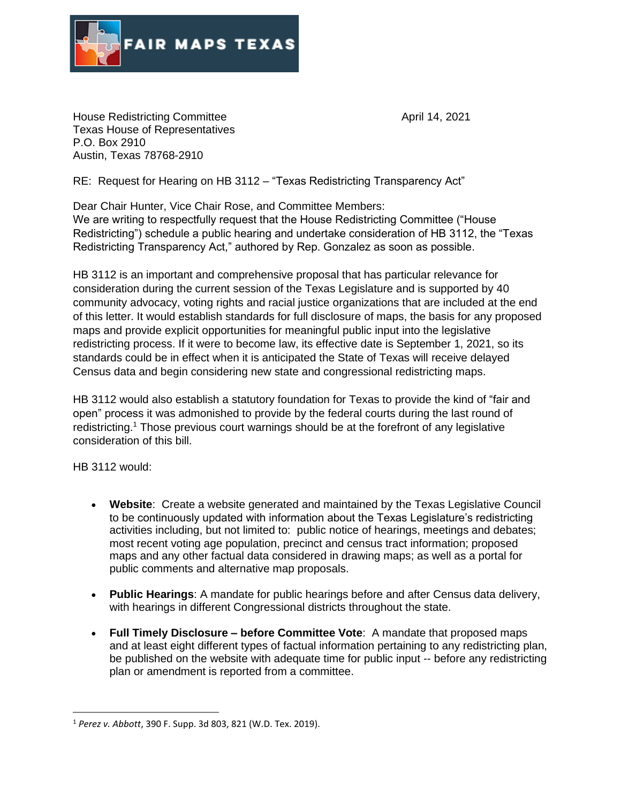

House Redistricting Committee **April 14, 2021** Texas House of Representatives P.O. Box 2910 Austin, Texas 78768-2910

RE: Request for Hearing on HB 3112 – "Texas Redistricting Transparency Act"

Dear Chair Hunter, Vice Chair Rose, and Committee Members:

We are writing to respectfully request that the House Redistricting Committee ("House Redistricting") schedule a public hearing and undertake consideration of HB 3112, the "Texas Redistricting Transparency Act," authored by Rep. Gonzalez as soon as possible.

HB 3112 is an important and comprehensive proposal that has particular relevance for consideration during the current session of the Texas Legislature and is supported by 40 community advocacy, voting rights and racial justice organizations that are included at the end of this letter. It would establish standards for full disclosure of maps, the basis for any proposed maps and provide explicit opportunities for meaningful public input into the legislative redistricting process. If it were to become law, its effective date is September 1, 2021, so its standards could be in effect when it is anticipated the State of Texas will receive delayed Census data and begin considering new state and congressional redistricting maps.

HB 3112 would also establish a statutory foundation for Texas to provide the kind of "fair and open" process it was admonished to provide by the federal courts during the last round of redistricting.<sup>1</sup> Those previous court warnings should be at the forefront of any legislative consideration of this bill.

HB 3112 would:

- **Website**: Create a website generated and maintained by the Texas Legislative Council to be continuously updated with information about the Texas Legislature's redistricting activities including, but not limited to: public notice of hearings, meetings and debates; most recent voting age population, precinct and census tract information; proposed maps and any other factual data considered in drawing maps; as well as a portal for public comments and alternative map proposals.
- **Public Hearings**: A mandate for public hearings before and after Census data delivery, with hearings in different Congressional districts throughout the state.
- **Full Timely Disclosure – before Committee Vote**: A mandate that proposed maps and at least eight different types of factual information pertaining to any redistricting plan, be published on the website with adequate time for public input -- before any redistricting plan or amendment is reported from a committee.

<sup>1</sup> *Perez v. Abbott*, 390 F. Supp. 3d 803, 821 (W.D. Tex. 2019).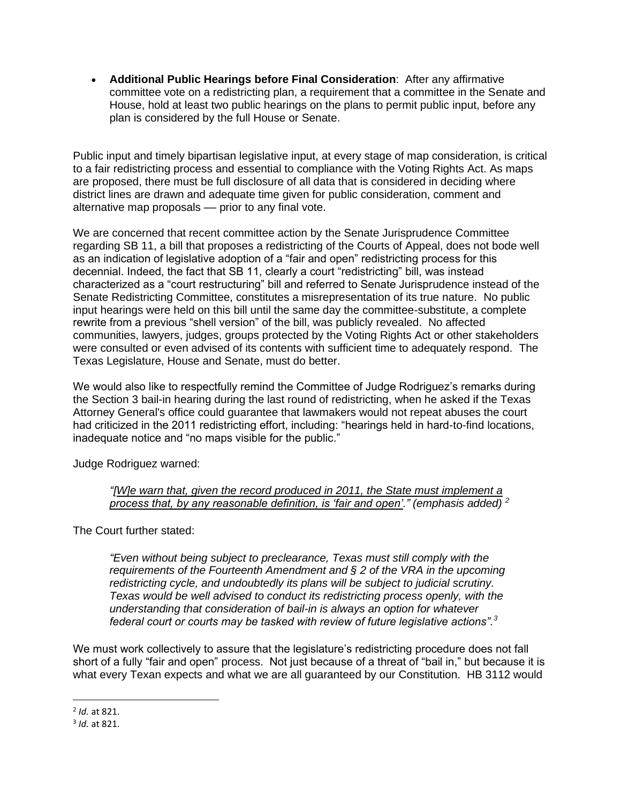• **Additional Public Hearings before Final Consideration**: After any affirmative committee vote on a redistricting plan, a requirement that a committee in the Senate and House, hold at least two public hearings on the plans to permit public input, before any plan is considered by the full House or Senate.

Public input and timely bipartisan legislative input, at every stage of map consideration, is critical to a fair redistricting process and essential to compliance with the Voting Rights Act. As maps are proposed, there must be full disclosure of all data that is considered in deciding where district lines are drawn and adequate time given for public consideration, comment and alternative map proposals - prior to any final vote.

We are concerned that recent committee action by the Senate Jurisprudence Committee regarding SB 11, a bill that proposes a redistricting of the Courts of Appeal, does not bode well as an indication of legislative adoption of a "fair and open" redistricting process for this decennial. Indeed, the fact that SB 11, clearly a court "redistricting" bill, was instead characterized as a "court restructuring" bill and referred to Senate Jurisprudence instead of the Senate Redistricting Committee, constitutes a misrepresentation of its true nature. No public input hearings were held on this bill until the same day the committee-substitute, a complete rewrite from a previous "shell version" of the bill, was publicly revealed. No affected communities, lawyers, judges, groups protected by the Voting Rights Act or other stakeholders were consulted or even advised of its contents with sufficient time to adequately respond. The Texas Legislature, House and Senate, must do better.

We would also like to respectfully remind the Committee of Judge Rodriguez's remarks during the Section 3 bail-in hearing during the last round of redistricting, when he asked if the Texas Attorney General's office could guarantee that lawmakers would not repeat abuses the court had criticized in the 2011 redistricting effort, including: "hearings held in hard-to-find locations, inadequate notice and "no maps visible for the public."

Judge Rodriguez warned:

*"[W]e warn that, given the record produced in 2011, the State must implement a process that, by any reasonable definition, is 'fair and open'." (emphasis added) <sup>2</sup>*

The Court further stated:

*"Even without being subject to preclearance, Texas must still comply with the requirements of the Fourteenth Amendment and § 2 of the VRA in the upcoming redistricting cycle, and undoubtedly its plans will be subject to judicial scrutiny. Texas would be well advised to conduct its redistricting process openly, with the understanding that consideration of bail-in is always an option for whatever federal court or courts may be tasked with review of future legislative actions".<sup>3</sup>*

We must work collectively to assure that the legislature's redistricting procedure does not fall short of a fully "fair and open" process. Not just because of a threat of "bail in," but because it is what every Texan expects and what we are all guaranteed by our Constitution. HB 3112 would

<sup>2</sup> *Id.* at 821.

<sup>3</sup> *Id.* at 821.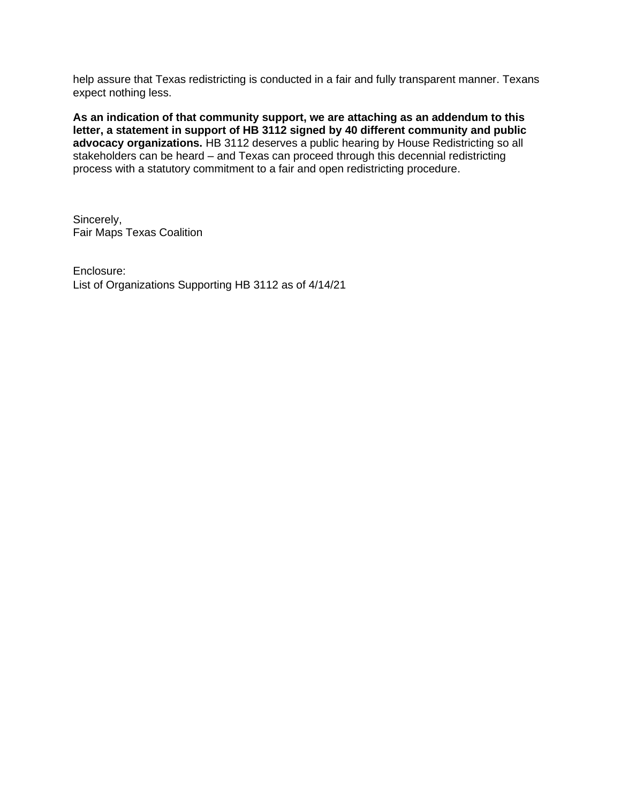help assure that Texas redistricting is conducted in a fair and fully transparent manner. Texans expect nothing less.

**As an indication of that community support, we are attaching as an addendum to this**  letter, a statement in support of HB 3112 signed by 40 different community and public advocacy organizations. HB 3112 deserves a public hearing by House Redistricting so all stakeholders can be heard – and Texas can proceed through this decennial redistricting process with a statutory commitment to a fair and open redistricting procedure.

Sincerely, Fair Maps Texas Coalition

Enclosure: List of Organizations Supporting HB 3112 as of 4/14/21